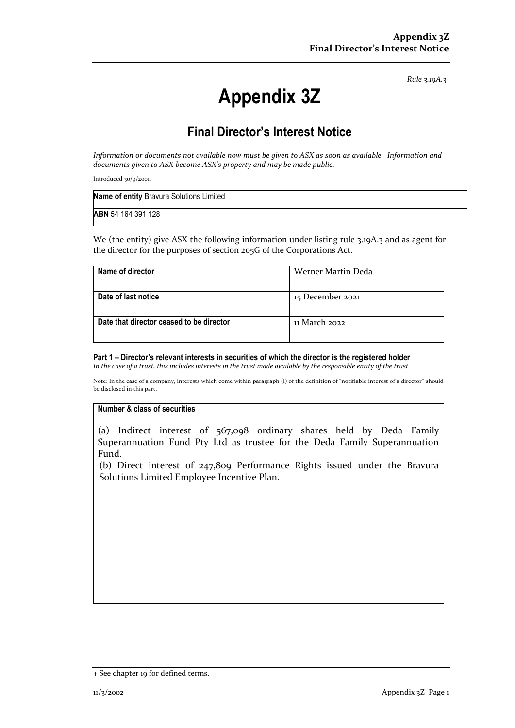*Rule 3.19A.3*

# **Appendix 3Z**

## **Final Director's Interest Notice**

*Information or documents not available now must be given to ASX as soon as available. Information and documents given to ASX become ASX's property and may be made public.*

Introduced 30/9/2001.

| Name of entity Bravura Solutions Limited |  |
|------------------------------------------|--|
| ABN 54 164 391 128                       |  |

We (the entity) give ASX the following information under listing rule 3.19A.3 and as agent for the director for the purposes of section 205G of the Corporations Act.

| Name of director                         | Werner Martin Deda |
|------------------------------------------|--------------------|
| Date of last notice                      | 15 December 2021   |
| Date that director ceased to be director | 11 March 2022      |

#### **Part 1 – Director's relevant interests in securities of which the director is the registered holder**

*In the case of a trust, this includes interests in the trust made available by the responsible entity of the trust*

Note: In the case of a company, interests which come within paragraph (i) of the definition of "notifiable interest of a director" should be disclosed in this part.

#### **Number & class of securities**

(a) Indirect interest of 567,098 ordinary shares held by Deda Family Superannuation Fund Pty Ltd as trustee for the Deda Family Superannuation Fund.

(b) Direct interest of 247,809 Performance Rights issued under the Bravura Solutions Limited Employee Incentive Plan.

<sup>+</sup> See chapter 19 for defined terms.